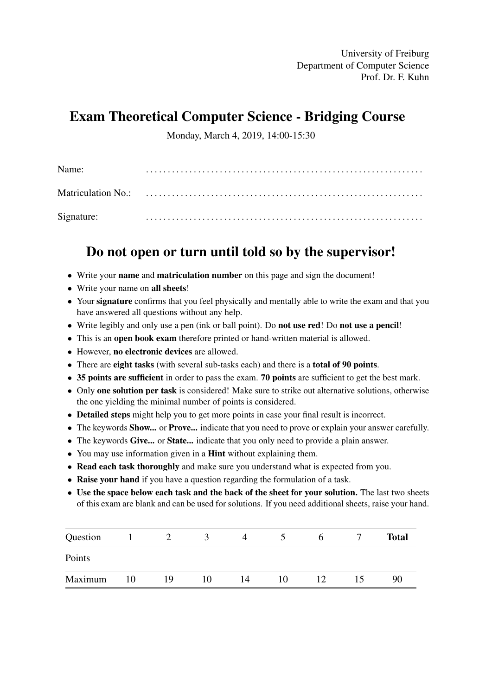University of Freiburg Department of Computer Science Prof. Dr. F. Kuhn

# Exam Theoretical Computer Science - Bridging Course

Monday, March 4, 2019, 14:00-15:30

| Name:      |  |
|------------|--|
|            |  |
| Signature: |  |

# Do not open or turn until told so by the supervisor!

- Write your name and matriculation number on this page and sign the document!
- Write your name on all sheets!
- Your signature confirms that you feel physically and mentally able to write the exam and that you have answered all questions without any help.
- Write legibly and only use a pen (ink or ball point). Do **not use red!** Do **not use a pencil!**
- This is an open book exam therefore printed or hand-written material is allowed.
- However, no electronic devices are allowed.
- There are eight tasks (with several sub-tasks each) and there is a total of 90 points.
- 35 points are sufficient in order to pass the exam. 70 points are sufficient to get the best mark.
- Only one solution per task is considered! Make sure to strike out alternative solutions, otherwise the one yielding the minimal number of points is considered.
- Detailed steps might help you to get more points in case your final result is incorrect.
- The keywords **Show...** or **Prove...** indicate that you need to prove or explain your answer carefully.
- The keywords Give... or State... indicate that you only need to provide a plain answer.
- You may use information given in a **Hint** without explaining them.
- Read each task thoroughly and make sure you understand what is expected from you.
- Raise your hand if you have a question regarding the formulation of a task.
- Use the space below each task and the back of the sheet for your solution. The last two sheets of this exam are blank and can be used for solutions. If you need additional sheets, raise your hand.

| Question |    |    |    | 4  |    | n  |    | <b>Total</b> |
|----------|----|----|----|----|----|----|----|--------------|
| Points   |    |    |    |    |    |    |    |              |
| Maximum  | 10 | 19 | 10 | 14 | 10 | 12 | 15 | 90           |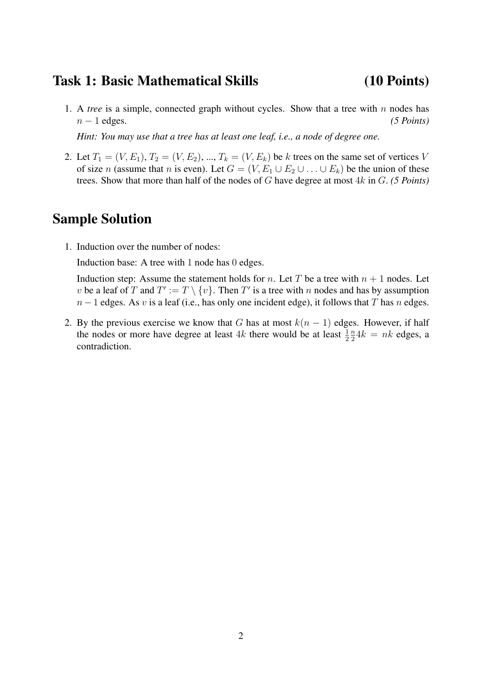### Task 1: Basic Mathematical Skills (10 Points)

1. A *tree* is a simple, connected graph without cycles. Show that a tree with  $n$  nodes has  $n - 1$  edges.  $(5 \text{ Points})$ 

*Hint: You may use that a tree has at least one leaf, i.e., a node of degree one.*

2. Let  $T_1 = (V, E_1), T_2 = (V, E_2), ..., T_k = (V, E_k)$  be k trees on the same set of vertices V of size n (assume that n is even). Let  $G = (V, E_1 \cup E_2 \cup ... \cup E_k)$  be the union of these trees. Show that more than half of the nodes of G have degree at most 4k in G. *(5 Points)*

### Sample Solution

1. Induction over the number of nodes:

Induction base: A tree with 1 node has 0 edges.

Induction step: Assume the statement holds for n. Let T be a tree with  $n + 1$  nodes. Let v be a leaf of T and  $T' := T \setminus \{v\}$ . Then T' is a tree with n nodes and has by assumption  $n-1$  edges. As v is a leaf (i.e., has only one incident edge), it follows that T has n edges.

2. By the previous exercise we know that G has at most  $k(n - 1)$  edges. However, if half the nodes or more have degree at least  $4k$  there would be at least  $\frac{1}{2}$ n  $\frac{n}{2}4k = nk$  edges, a contradiction.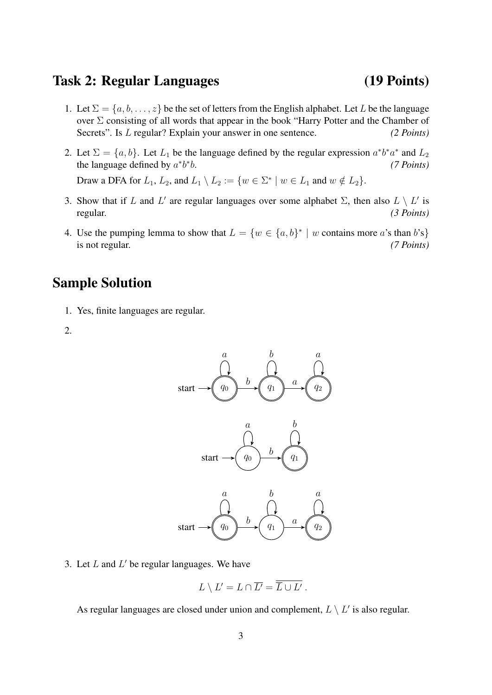### Task 2: Regular Languages (19 Points)

- 1. Let  $\Sigma = \{a, b, \ldots, z\}$  be the set of letters from the English alphabet. Let L be the language over  $\Sigma$  consisting of all words that appear in the book "Harry Potter and the Chamber of Secrets". Is L regular? Explain your answer in one sentence. *(2 Points)*
- 2. Let  $\Sigma = \{a, b\}$ . Let  $L_1$  be the language defined by the regular expression  $a^*b^*a^*$  and  $L_2$ the language defined by  $a^*b^*$ b. *(7 Points)*

Draw a DFA for  $L_1$ ,  $L_2$ , and  $L_1 \setminus L_2 := \{w \in \Sigma^* \mid w \in L_1 \text{ and } w \notin L_2\}.$ 

- 3. Show that if L and L' are regular languages over some alphabet  $\Sigma$ , then also  $L \setminus L'$  is regular. *(3 Points)*
- 4. Use the pumping lemma to show that  $L = \{w \in \{a, b\}^* \mid w \text{ contains more } a \text{'s than } b \text{'s}\}\$ is not regular. *(7 Points)*

### Sample Solution

- 1. Yes, finite languages are regular.
- 2.



3. Let  $L$  and  $L'$  be regular languages. We have

$$
L \setminus L' = L \cap \overline{L'} = \overline{L} \cup L' .
$$

As regular languages are closed under union and complement,  $L \setminus L'$  is also regular.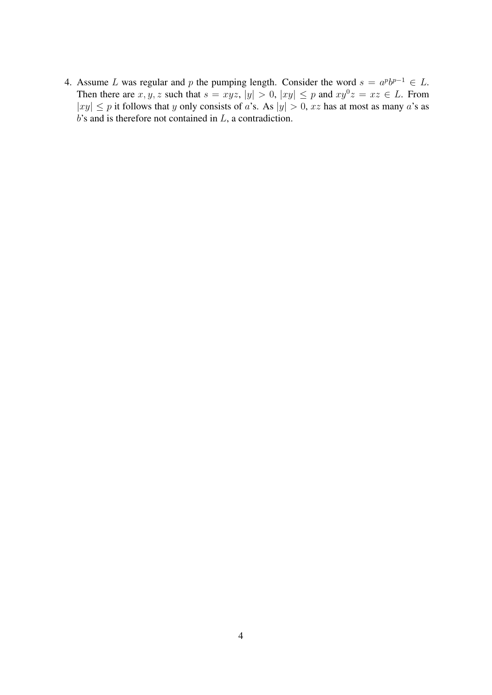4. Assume L was regular and p the pumping length. Consider the word  $s = a^p b^{p-1} \in L$ . Then there are  $x, y, z$  such that  $s = xyz$ ,  $|y| > 0$ ,  $|xy| \leq p$  and  $xy^0z = xz \in L$ . From  $|xy| \leq p$  it follows that y only consists of a's. As  $|y| > 0$ , xz has at most as many a's as  $b$ 's and is therefore not contained in  $L$ , a contradiction.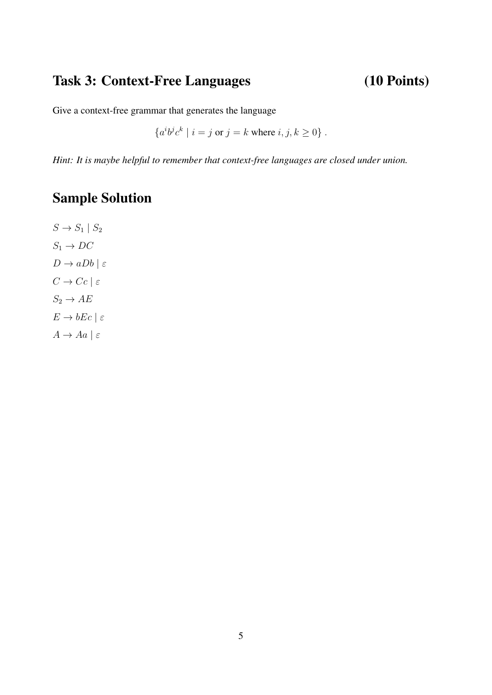# Task 3: Context-Free Languages (10 Points)

Give a context-free grammar that generates the language

 ${a^i b^j c^k \mid i = j \text{ or } j = k \text{ where } i, j, k \ge 0}$ .

*Hint: It is maybe helpful to remember that context-free languages are closed under union.*

# Sample Solution

 $S \rightarrow S_1 \mid S_2$  $S_1 \rightarrow DC$  $D \to aDb \mid \varepsilon$  $C \rightarrow Cc \mid \varepsilon$  $S_2 \to AE$  $E \to bEc \mid \varepsilon$  $A \rightarrow Aa \mid \varepsilon$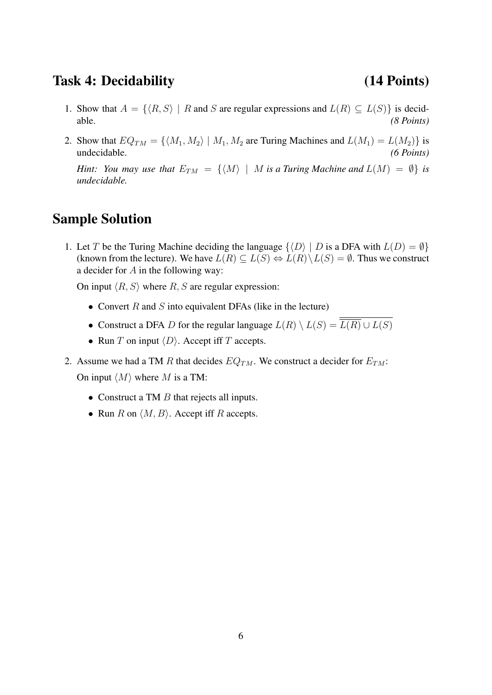### Task 4: Decidability (14 Points)

- 1. Show that  $A = \{ \langle R, S \rangle \mid R \text{ and } S \text{ are regular expressions and } L(R) \subseteq L(S) \}$  is decidable. *(8 Points)*
- 2. Show that  $EQ_{TM} = \{ \langle M_1, M_2 \rangle \mid M_1, M_2 \text{ are Turing Machines and } L(M_1) = L(M_2) \}$  is undecidable. *(6 Points)*

*Hint: You may use that*  $E_{TM} = \{ \langle M \rangle \mid M \text{ is a Turing Machine and } L(M) = \emptyset \}$  *is undecidable.*

### Sample Solution

1. Let T be the Turing Machine deciding the language  $\{ \langle D \rangle | D$  is a DFA with  $L(D) = \emptyset \}$ (known from the lecture). We have  $L(R) \subseteq L(S) \Leftrightarrow L(R) \setminus L(S) = \emptyset$ . Thus we construct a decider for  $A$  in the following way:

On input  $\langle R, S \rangle$  where R, S are regular expression:

- Convert  $R$  and  $S$  into equivalent DFAs (like in the lecture)
- Construct a DFA D for the regular language  $L(R) \setminus L(S) = \frac{\overline{L(R)} \cup L(S)}{\overline{L(R)} \cup L(S)}$
- Run T on input  $\langle D \rangle$ . Accept iff T accepts.
- 2. Assume we had a TM R that decides  $EQ<sub>TM</sub>$ . We construct a decider for  $E<sub>TM</sub>$ : On input  $\langle M \rangle$  where M is a TM:
	- Construct a TM  $B$  that rejects all inputs.
	- Run R on  $\langle M, B \rangle$ . Accept iff R accepts.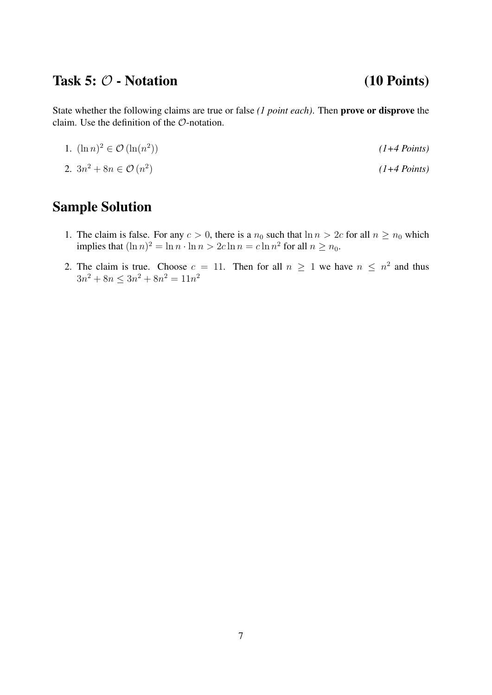# Task  $5: \mathcal{O}$  - Notation (10 Points)

State whether the following claims are true or false *(1 point each)*. Then prove or disprove the claim. Use the definition of the O-notation.

- 1.  $(\ln n)^2 \in \mathcal{O}(\ln(n^2))$ )) *(1+4 Points)*
- 2.  $3n^2 + 8n \in \mathcal{O}(n^2)$ ) *(1+4 Points)*

# Sample Solution

- 1. The claim is false. For any  $c > 0$ , there is a  $n_0$  such that  $\ln n > 2c$  for all  $n \ge n_0$  which implies that  $(\ln n)^2 = \ln n \cdot \ln n > 2c \ln n = c \ln n^2$  for all  $n \ge n_0$ .
- 2. The claim is true. Choose  $c = 11$ . Then for all  $n \ge 1$  we have  $n \le n^2$  and thus  $3n^2 + 8n \leq 3n^2 + 8n^2 = 11n^2$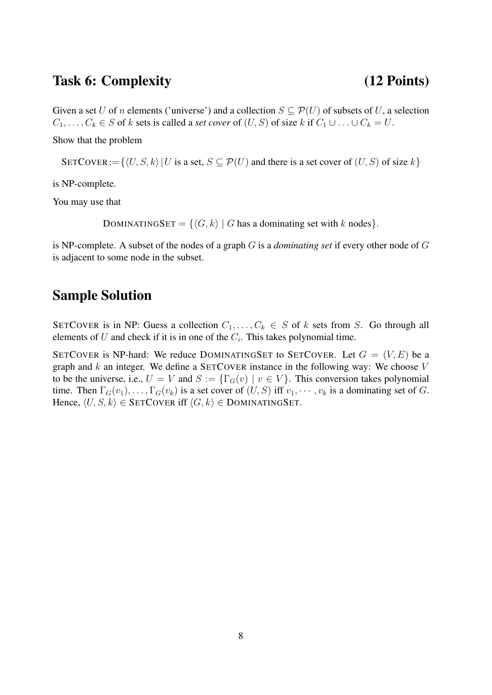### Task 6: Complexity (12 Points)

Given a set U of n elements ('universe') and a collection  $S \subseteq \mathcal{P}(U)$  of subsets of U, a selection  $C_1, \ldots, C_k \in S$  of k sets is called a *set cover* of  $(U, S)$  of size k if  $C_1 \cup \ldots \cup C_k = U$ .

Show that the problem

SETCOVER :=  $\{U, S, k\}$  U is a set,  $S \subseteq \mathcal{P}(U)$  and there is a set cover of  $(U, S)$  of size k}

is NP-complete.

You may use that

DOMINATINGSET =  $\{\langle G, k \rangle | G$  has a dominating set with k nodes}.

is NP-complete. A subset of the nodes of a graph G is a *dominating set* if every other node of G is adjacent to some node in the subset.

### Sample Solution

SETCOVER is in NP: Guess a collection  $C_1, \ldots, C_k \in S$  of k sets from S. Go through all elements of U and check if it is in one of the  $C_i$ . This takes polynomial time.

SETCOVER is NP-hard: We reduce DOMINATINGSET to SETCOVER. Let  $G = (V, E)$  be a graph and  $k$  an integer. We define a SETCOVER instance in the following way: We choose  $V$ to be the universe, i.e.,  $U = V$  and  $S := \{\Gamma_G(v) \mid v \in V\}$ . This conversion takes polynomial time. Then  $\Gamma_G(v_1), \ldots, \Gamma_G(v_k)$  is a set cover of  $(U, S)$  iff  $v_1, \cdots, v_k$  is a dominating set of G. Hence,  $\langle U, S, k \rangle \in$  SETCOVER iff  $\langle G, k \rangle \in$  DOMINATINGSET.